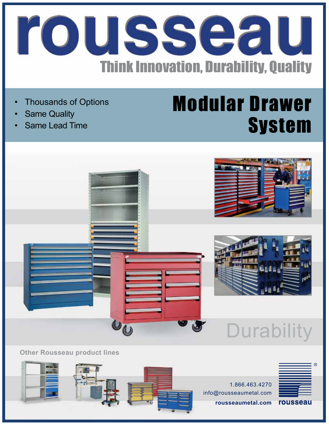

- **Thousands of Options**
- **Same Quality**
- Same Lead Time

## Modular Drawer **System**



**Other Rousseau product lines**

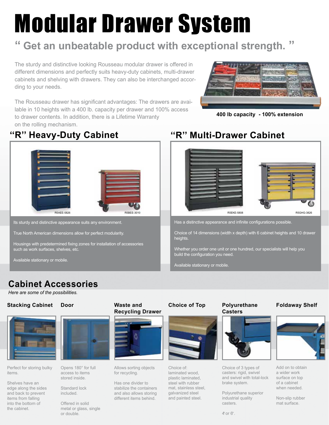# Modular Drawer System

## **Get an unbeatable product with exceptional strength. "**

The sturdy and distinctive looking Rousseau modular drawer is offered in different dimensions and perfectly suits heavy-duty cabinets, multi-drawer cabinets and shelving with drawers. They can also be interchanged according to your needs.

The Rousseau drawer has significant advantages: The drawers are available in 10 heights with a 400 lb. capacity per drawer and 100% access to drawer contents. In addition, there is a Lifetime Warranty on the rolling mechanism.



**400 lb capacity - 100% extension**





Its sturdy and distinctive appearance suits any environment.

True North American dimensions allow for perfect modularity.

Housings with predetermined fixing zones for installation of accessories such as work surfaces, shelves, etc.

Available stationary or mobile.

### **''R'' Heavy-Duty Cabinet ''R'' Multi-Drawer Cabinet**



Has a distinctive appearance and infinite configurations possible.

Choice of 14 dimensions (width x depth) with 6 cabinet heights and 10 drawer heights.

Whether you order one unit or one hundred, our specialists will help you build the configuration you need.

Available stationary or mobile.

### **Cabinet Accessories**

*Here are some of the possibilities.*

#### **Stacking Cabinet Door Waste and**



Perfect for storing bulky items.

Shelves have an edge along the sides and back to prevent items from falling into the bottom of the cabinet.



Opens 180° for full access to items stored inside.

Standard lock included.

Offered in solid metal or glass, single or double.

## **Recycling Drawer**



Allows sorting objects for recycling.

Has one divider to stabilize the containers and also allows storing different items behind.

#### **Choice of Top Polyurethane**



Choice of: laminated wood, plastic laminated, steel with rubber mat, stainless steel, galvanized steel and painted steel.

## **Casters**



Choice of 3 types of casters: rigid, swivel and swivel with total-lock brake system.

Polyurethane superior industrial quality casters.

#### $4$ " or  $6$ ".

#### **Foldaway Shelf**



Add on to obtain a wider work surface on top of a cabinet when needed.

Non-slip rubber mat surface.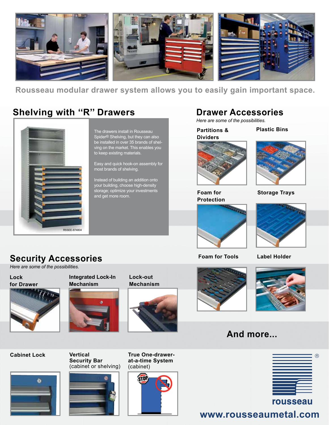

**Rousseau modular drawer system allows you to easily gain important space.**

### **Shelving with ''R'' Drawers**



**Security Accessories**

The drawers install in Rousseau Spider® Shelving, but they can also be installed in over 35 brands of shelving on the market. This enables you to keep existing materials.

Easy and quick hook-on assembly for most brands of shelving.

Instead of building an addition onto your building, choose high-density storage; optimize your investments and get more room.

#### **Drawer Accessories**

*Here are some of the possibilities.*

**Partitions & Dividers**

**Plastic Bins**



**Foam for Protection**



**Storage Trays**



**Foam for Tools Label Holder**





**Lock**  *Here are some of the possibilities.*

**for Drawer**



**Integrated Lock-In Mechanism**



**Lock-out Mechanism**







**And more...**



### **www.rousseaumetal.com**



(cabinet or shelving)



**True One-drawerat-a-time System** (cabinet)